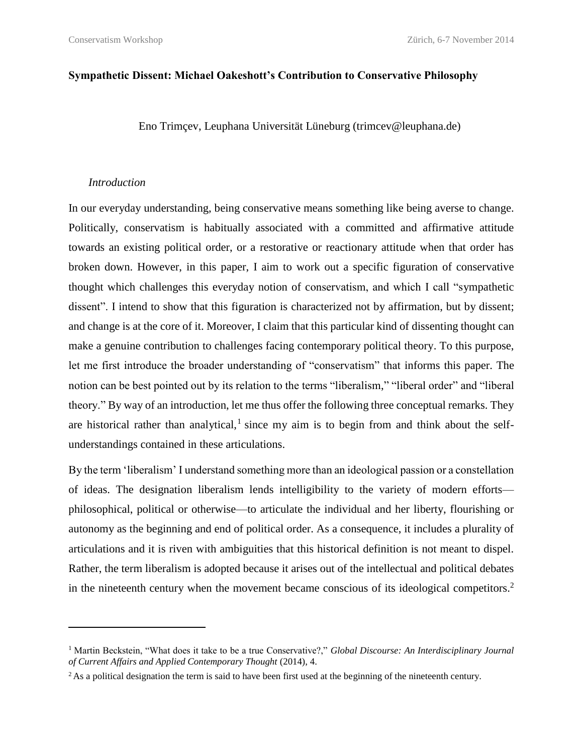## **Sympathetic Dissent: Michael Oakeshott's Contribution to Conservative Philosophy**

Eno Trimçev, Leuphana Universität Lüneburg (trimcev@leuphana.de)

## *Introduction*

 $\overline{a}$ 

In our everyday understanding, being conservative means something like being averse to change. Politically, conservatism is habitually associated with a committed and affirmative attitude towards an existing political order, or a restorative or reactionary attitude when that order has broken down. However, in this paper, I aim to work out a specific figuration of conservative thought which challenges this everyday notion of conservatism, and which I call "sympathetic dissent". I intend to show that this figuration is characterized not by affirmation, but by dissent; and change is at the core of it. Moreover, I claim that this particular kind of dissenting thought can make a genuine contribution to challenges facing contemporary political theory. To this purpose, let me first introduce the broader understanding of "conservatism" that informs this paper. The notion can be best pointed out by its relation to the terms "liberalism," "liberal order" and "liberal theory." By way of an introduction, let me thus offer the following three conceptual remarks. They are historical rather than analytical,<sup>1</sup> since my aim is to begin from and think about the selfunderstandings contained in these articulations.

By the term 'liberalism' I understand something more than an ideological passion or a constellation of ideas. The designation liberalism lends intelligibility to the variety of modern efforts philosophical, political or otherwise—to articulate the individual and her liberty, flourishing or autonomy as the beginning and end of political order. As a consequence, it includes a plurality of articulations and it is riven with ambiguities that this historical definition is not meant to dispel. Rather, the term liberalism is adopted because it arises out of the intellectual and political debates in the nineteenth century when the movement became conscious of its ideological competitors.<sup>2</sup>

<sup>1</sup> Martin Beckstein, "What does it take to be a true Conservative?," *Global Discourse: An Interdisciplinary Journal of Current Affairs and Applied Contemporary Thought* (2014), 4.

 $2$  As a political designation the term is said to have been first used at the beginning of the nineteenth century.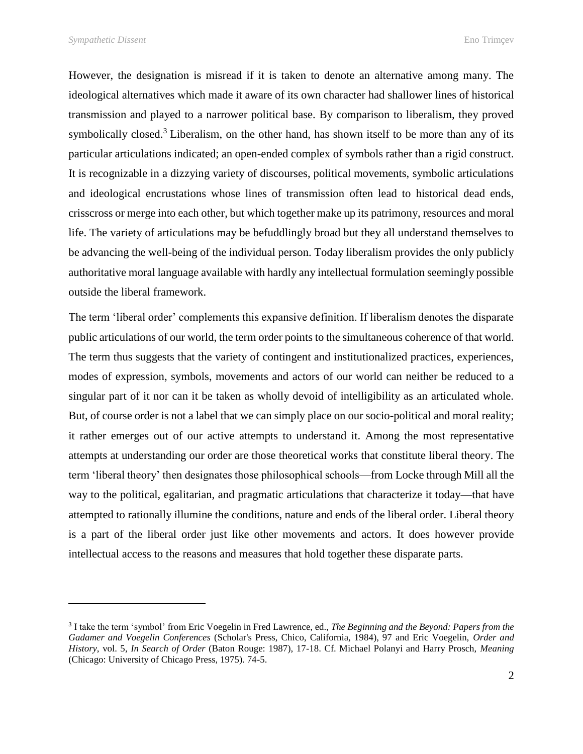However, the designation is misread if it is taken to denote an alternative among many. The ideological alternatives which made it aware of its own character had shallower lines of historical transmission and played to a narrower political base. By comparison to liberalism, they proved symbolically closed.<sup>3</sup> Liberalism, on the other hand, has shown itself to be more than any of its particular articulations indicated; an open-ended complex of symbols rather than a rigid construct. It is recognizable in a dizzying variety of discourses, political movements, symbolic articulations and ideological encrustations whose lines of transmission often lead to historical dead ends, crisscross or merge into each other, but which together make up its patrimony, resources and moral life. The variety of articulations may be befuddlingly broad but they all understand themselves to be advancing the well-being of the individual person. Today liberalism provides the only publicly authoritative moral language available with hardly any intellectual formulation seemingly possible outside the liberal framework.

The term 'liberal order' complements this expansive definition. If liberalism denotes the disparate public articulations of our world, the term order points to the simultaneous coherence of that world. The term thus suggests that the variety of contingent and institutionalized practices, experiences, modes of expression, symbols, movements and actors of our world can neither be reduced to a singular part of it nor can it be taken as wholly devoid of intelligibility as an articulated whole. But, of course order is not a label that we can simply place on our socio-political and moral reality; it rather emerges out of our active attempts to understand it. Among the most representative attempts at understanding our order are those theoretical works that constitute liberal theory. The term 'liberal theory' then designates those philosophical schools—from Locke through Mill all the way to the political, egalitarian, and pragmatic articulations that characterize it today—that have attempted to rationally illumine the conditions, nature and ends of the liberal order. Liberal theory is a part of the liberal order just like other movements and actors. It does however provide intellectual access to the reasons and measures that hold together these disparate parts.

<sup>3</sup> I take the term 'symbol' from Eric Voegelin in Fred Lawrence, ed., *The Beginning and the Beyond: Papers from the Gadamer and Voegelin Conferences* (Scholar's Press, Chico, California, 1984), 97 and Eric Voegelin, *Order and History*, vol. 5, *In Search of Order* (Baton Rouge: 1987), 17-18. Cf. Michael Polanyi and Harry Prosch, *Meaning* (Chicago: University of Chicago Press, 1975). 74-5.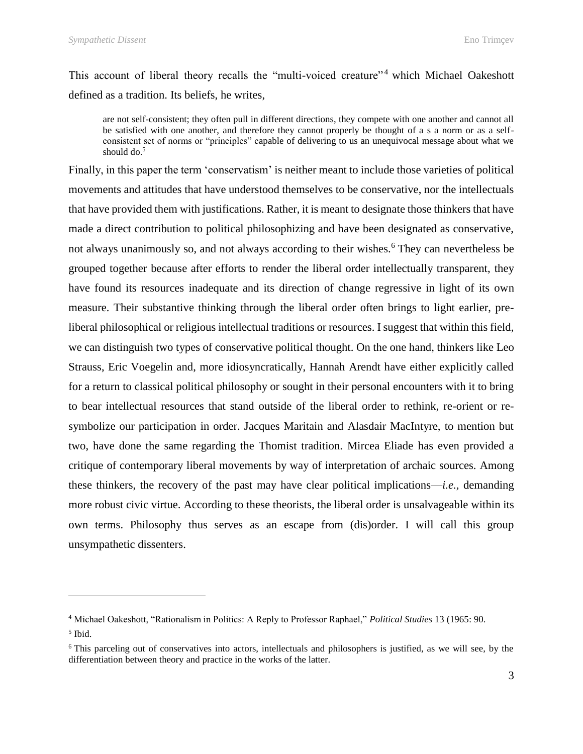This account of liberal theory recalls the "multi-voiced creature"<sup>4</sup> which Michael Oakeshott defined as a tradition. Its beliefs, he writes,

are not self-consistent; they often pull in different directions, they compete with one another and cannot all be satisfied with one another, and therefore they cannot properly be thought of a s a norm or as a selfconsistent set of norms or "principles" capable of delivering to us an unequivocal message about what we should do.<sup>5</sup>

Finally, in this paper the term 'conservatism' is neither meant to include those varieties of political movements and attitudes that have understood themselves to be conservative, nor the intellectuals that have provided them with justifications. Rather, it is meant to designate those thinkers that have made a direct contribution to political philosophizing and have been designated as conservative, not always unanimously so, and not always according to their wishes.<sup>6</sup> They can nevertheless be grouped together because after efforts to render the liberal order intellectually transparent, they have found its resources inadequate and its direction of change regressive in light of its own measure. Their substantive thinking through the liberal order often brings to light earlier, preliberal philosophical or religious intellectual traditions or resources. I suggest that within this field, we can distinguish two types of conservative political thought. On the one hand, thinkers like Leo Strauss, Eric Voegelin and, more idiosyncratically, Hannah Arendt have either explicitly called for a return to classical political philosophy or sought in their personal encounters with it to bring to bear intellectual resources that stand outside of the liberal order to rethink, re-orient or resymbolize our participation in order. Jacques Maritain and Alasdair MacIntyre, to mention but two, have done the same regarding the Thomist tradition. Mircea Eliade has even provided a critique of contemporary liberal movements by way of interpretation of archaic sources. Among these thinkers, the recovery of the past may have clear political implications—*i.e.,* demanding more robust civic virtue. According to these theorists, the liberal order is unsalvageable within its own terms. Philosophy thus serves as an escape from (dis)order. I will call this group unsympathetic dissenters.

5 Ibid.

<sup>4</sup> Michael Oakeshott, "Rationalism in Politics: A Reply to Professor Raphael," *Political Studies* 13 (1965: 90.

<sup>6</sup> This parceling out of conservatives into actors, intellectuals and philosophers is justified, as we will see, by the differentiation between theory and practice in the works of the latter.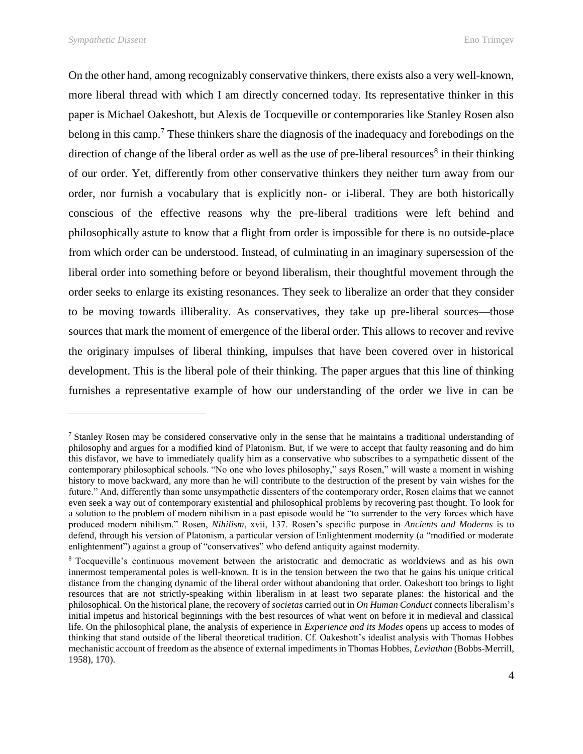On the other hand, among recognizably conservative thinkers, there exists also a very well-known, more liberal thread with which I am directly concerned today. Its representative thinker in this paper is Michael Oakeshott, but Alexis de Tocqueville or contemporaries like Stanley Rosen also belong in this camp.<sup>7</sup> These thinkers share the diagnosis of the inadequacy and forebodings on the direction of change of the liberal order as well as the use of pre-liberal resources<sup>8</sup> in their thinking of our order. Yet, differently from other conservative thinkers they neither turn away from our order, nor furnish a vocabulary that is explicitly non- or i-liberal. They are both historically conscious of the effective reasons why the pre-liberal traditions were left behind and philosophically astute to know that a flight from order is impossible for there is no outside-place from which order can be understood. Instead, of culminating in an imaginary supersession of the liberal order into something before or beyond liberalism, their thoughtful movement through the order seeks to enlarge its existing resonances. They seek to liberalize an order that they consider to be moving towards illiberality. As conservatives, they take up pre-liberal sources—those sources that mark the moment of emergence of the liberal order. This allows to recover and revive the originary impulses of liberal thinking, impulses that have been covered over in historical development. This is the liberal pole of their thinking. The paper argues that this line of thinking furnishes a representative example of how our understanding of the order we live in can be

<sup>&</sup>lt;sup>7</sup> Stanley Rosen may be considered conservative only in the sense that he maintains a traditional understanding of philosophy and argues for a modified kind of Platonism. But, if we were to accept that faulty reasoning and do him this disfavor, we have to immediately qualify him as a conservative who subscribes to a sympathetic dissent of the contemporary philosophical schools. "No one who loves philosophy," says Rosen," will waste a moment in wishing history to move backward, any more than he will contribute to the destruction of the present by vain wishes for the future." And, differently than some unsympathetic dissenters of the contemporary order, Rosen claims that we cannot even seek a way out of contemporary existential and philosophical problems by recovering past thought. To look for a solution to the problem of modern nihilism in a past episode would be "to surrender to the very forces which have produced modern nihilism." Rosen, *Nihilism*, xvii, 137. Rosen's specific purpose in *Ancients and Moderns* is to defend, through his version of Platonism, a particular version of Enlightenment modernity (a "modified or moderate enlightenment") against a group of "conservatives" who defend antiquity against modernity.

<sup>8</sup> Tocqueville's continuous movement between the aristocratic and democratic as worldviews and as his own innermost temperamental poles is well-known. It is in the tension between the two that he gains his unique critical distance from the changing dynamic of the liberal order without abandoning that order. Oakeshott too brings to light resources that are not strictly-speaking within liberalism in at least two separate planes: the historical and the philosophical. On the historical plane, the recovery of *societas* carried out in *On Human Conduct* connects liberalism's initial impetus and historical beginnings with the best resources of what went on before it in medieval and classical life. On the philosophical plane, the analysis of experience in *Experience and its Modes* opens up access to modes of thinking that stand outside of the liberal theoretical tradition. Cf. Oakeshott's idealist analysis with Thomas Hobbes mechanistic account of freedom as the absence of external impediments in Thomas Hobbes, *Leviathan* (Bobbs-Merrill, 1958), 170).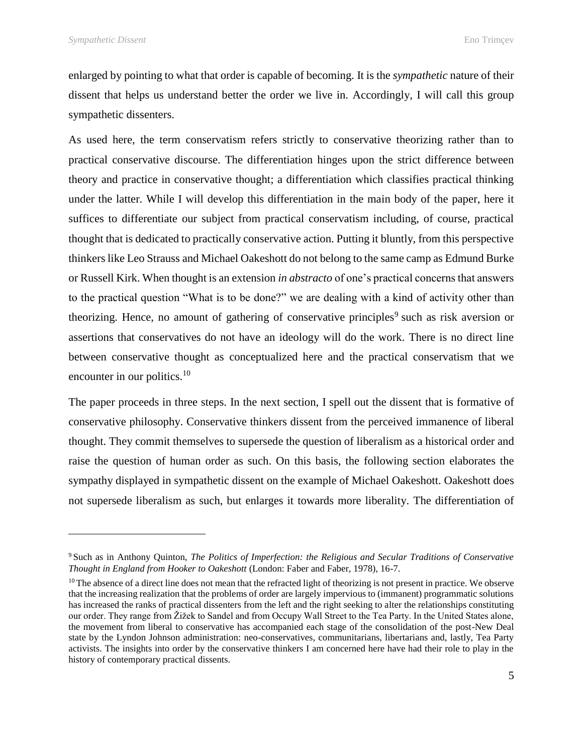enlarged by pointing to what that order is capable of becoming. It is the *sympathetic* nature of their dissent that helps us understand better the order we live in. Accordingly, I will call this group sympathetic dissenters.

As used here, the term conservatism refers strictly to conservative theorizing rather than to practical conservative discourse. The differentiation hinges upon the strict difference between theory and practice in conservative thought; a differentiation which classifies practical thinking under the latter. While I will develop this differentiation in the main body of the paper, here it suffices to differentiate our subject from practical conservatism including, of course, practical thought that is dedicated to practically conservative action. Putting it bluntly, from this perspective thinkers like Leo Strauss and Michael Oakeshott do not belong to the same camp as Edmund Burke or Russell Kirk. When thought is an extension *in abstracto* of one's practical concerns that answers to the practical question "What is to be done?" we are dealing with a kind of activity other than theorizing. Hence, no amount of gathering of conservative principles<sup>9</sup> such as risk aversion or assertions that conservatives do not have an ideology will do the work. There is no direct line between conservative thought as conceptualized here and the practical conservatism that we encounter in our politics.<sup>10</sup>

The paper proceeds in three steps. In the next section, I spell out the dissent that is formative of conservative philosophy. Conservative thinkers dissent from the perceived immanence of liberal thought. They commit themselves to supersede the question of liberalism as a historical order and raise the question of human order as such. On this basis, the following section elaborates the sympathy displayed in sympathetic dissent on the example of Michael Oakeshott. Oakeshott does not supersede liberalism as such, but enlarges it towards more liberality. The differentiation of

<sup>9</sup> Such as in Anthony Quinton, *The Politics of Imperfection: the Religious and Secular Traditions of Conservative Thought in England from Hooker to Oakeshott* (London: Faber and Faber, 1978), 16-7.

 $10$  The absence of a direct line does not mean that the refracted light of theorizing is not present in practice. We observe that the increasing realization that the problems of order are largely impervious to (immanent) programmatic solutions has increased the ranks of practical dissenters from the left and the right seeking to alter the relationships constituting our order. They range from Žižek to Sandel and from Occupy Wall Street to the Tea Party. In the United States alone, the movement from liberal to conservative has accompanied each stage of the consolidation of the post-New Deal state by the Lyndon Johnson administration: neo-conservatives, communitarians, libertarians and, lastly, Tea Party activists. The insights into order by the conservative thinkers I am concerned here have had their role to play in the history of contemporary practical dissents.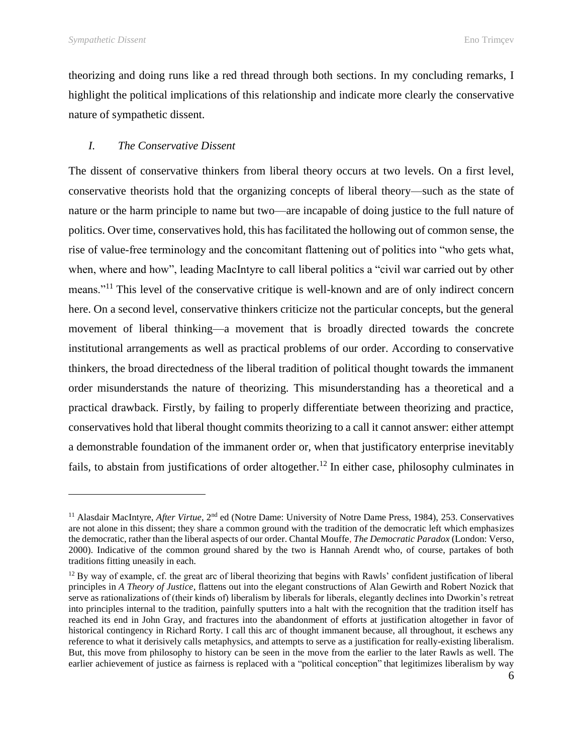theorizing and doing runs like a red thread through both sections. In my concluding remarks, I highlight the political implications of this relationship and indicate more clearly the conservative nature of sympathetic dissent.

# *I. The Conservative Dissent*

The dissent of conservative thinkers from liberal theory occurs at two levels. On a first level, conservative theorists hold that the organizing concepts of liberal theory—such as the state of nature or the harm principle to name but two—are incapable of doing justice to the full nature of politics. Over time, conservatives hold, this has facilitated the hollowing out of common sense, the rise of value-free terminology and the concomitant flattening out of politics into "who gets what, when, where and how", leading MacIntyre to call liberal politics a "civil war carried out by other means."<sup>11</sup> This level of the conservative critique is well-known and are of only indirect concern here. On a second level, conservative thinkers criticize not the particular concepts, but the general movement of liberal thinking—a movement that is broadly directed towards the concrete institutional arrangements as well as practical problems of our order. According to conservative thinkers, the broad directedness of the liberal tradition of political thought towards the immanent order misunderstands the nature of theorizing. This misunderstanding has a theoretical and a practical drawback. Firstly, by failing to properly differentiate between theorizing and practice, conservatives hold that liberal thought commits theorizing to a call it cannot answer: either attempt a demonstrable foundation of the immanent order or, when that justificatory enterprise inevitably fails, to abstain from justifications of order altogether.<sup>12</sup> In either case, philosophy culminates in

<sup>&</sup>lt;sup>11</sup> Alasdair MacIntyre, *After Virtue*, 2<sup>nd</sup> ed (Notre Dame: University of Notre Dame Press, 1984), 253. Conservatives are not alone in this dissent; they share a common ground with the tradition of the democratic left which emphasizes the democratic, rather than the liberal aspects of our order. Chantal Mouffe, *The Democratic Paradox* (London: Verso, 2000). Indicative of the common ground shared by the two is Hannah Arendt who, of course, partakes of both traditions fitting uneasily in each.

<sup>&</sup>lt;sup>12</sup> By way of example, cf. the great arc of liberal theorizing that begins with Rawls' confident justification of liberal principles in *A Theory of Justice*, flattens out into the elegant constructions of Alan Gewirth and Robert Nozick that serve as rationalizations of (their kinds of) liberalism by liberals for liberals, elegantly declines into Dworkin's retreat into principles internal to the tradition, painfully sputters into a halt with the recognition that the tradition itself has reached its end in John Gray, and fractures into the abandonment of efforts at justification altogether in favor of historical contingency in Richard Rorty. I call this arc of thought immanent because, all throughout, it eschews any reference to what it derisively calls metaphysics, and attempts to serve as a justification for really-existing liberalism. But, this move from philosophy to history can be seen in the move from the earlier to the later Rawls as well. The earlier achievement of justice as fairness is replaced with a "political conception" that legitimizes liberalism by way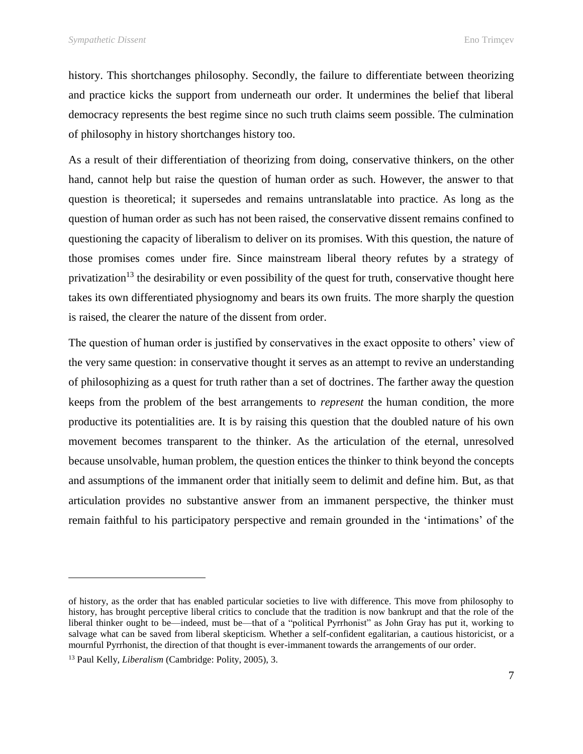history. This shortchanges philosophy. Secondly, the failure to differentiate between theorizing and practice kicks the support from underneath our order. It undermines the belief that liberal democracy represents the best regime since no such truth claims seem possible. The culmination of philosophy in history shortchanges history too.

As a result of their differentiation of theorizing from doing, conservative thinkers, on the other hand, cannot help but raise the question of human order as such. However, the answer to that question is theoretical; it supersedes and remains untranslatable into practice. As long as the question of human order as such has not been raised, the conservative dissent remains confined to questioning the capacity of liberalism to deliver on its promises. With this question, the nature of those promises comes under fire. Since mainstream liberal theory refutes by a strategy of privatization<sup>13</sup> the desirability or even possibility of the quest for truth, conservative thought here takes its own differentiated physiognomy and bears its own fruits. The more sharply the question is raised, the clearer the nature of the dissent from order.

The question of human order is justified by conservatives in the exact opposite to others' view of the very same question: in conservative thought it serves as an attempt to revive an understanding of philosophizing as a quest for truth rather than a set of doctrines. The farther away the question keeps from the problem of the best arrangements to *represent* the human condition, the more productive its potentialities are. It is by raising this question that the doubled nature of his own movement becomes transparent to the thinker. As the articulation of the eternal, unresolved because unsolvable, human problem, the question entices the thinker to think beyond the concepts and assumptions of the immanent order that initially seem to delimit and define him. But, as that articulation provides no substantive answer from an immanent perspective, the thinker must remain faithful to his participatory perspective and remain grounded in the 'intimations' of the

of history, as the order that has enabled particular societies to live with difference. This move from philosophy to history, has brought perceptive liberal critics to conclude that the tradition is now bankrupt and that the role of the liberal thinker ought to be—indeed, must be—that of a "political Pyrrhonist" as John Gray has put it, working to salvage what can be saved from liberal skepticism. Whether a self-confident egalitarian, a cautious historicist, or a mournful Pyrrhonist, the direction of that thought is ever-immanent towards the arrangements of our order.

<sup>13</sup> Paul Kelly, *Liberalism* (Cambridge: Polity, 2005), 3.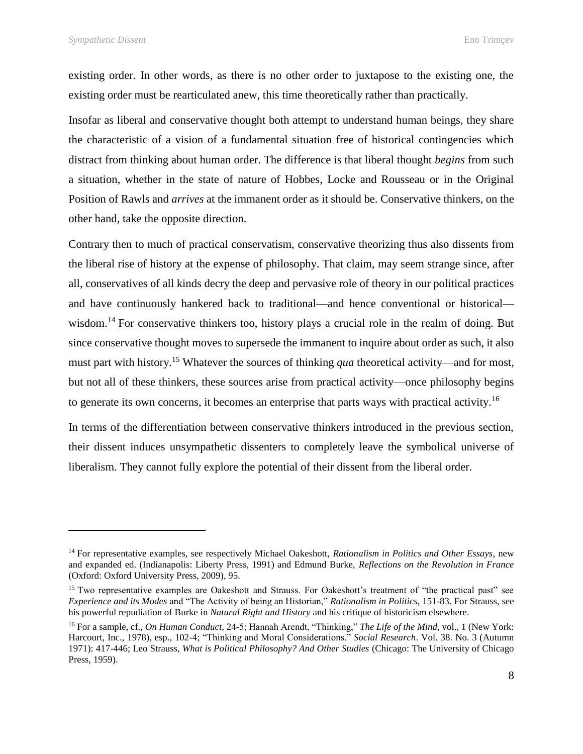existing order. In other words, as there is no other order to juxtapose to the existing one, the existing order must be rearticulated anew, this time theoretically rather than practically.

Insofar as liberal and conservative thought both attempt to understand human beings, they share the characteristic of a vision of a fundamental situation free of historical contingencies which distract from thinking about human order. The difference is that liberal thought *begins* from such a situation, whether in the state of nature of Hobbes, Locke and Rousseau or in the Original Position of Rawls and *arrives* at the immanent order as it should be. Conservative thinkers, on the other hand, take the opposite direction.

Contrary then to much of practical conservatism, conservative theorizing thus also dissents from the liberal rise of history at the expense of philosophy. That claim, may seem strange since, after all, conservatives of all kinds decry the deep and pervasive role of theory in our political practices and have continuously hankered back to traditional—and hence conventional or historical wisdom.<sup>14</sup> For conservative thinkers too, history plays a crucial role in the realm of doing. But since conservative thought moves to supersede the immanent to inquire about order as such, it also must part with history.<sup>15</sup> Whatever the sources of thinking *qua* theoretical activity—and for most, but not all of these thinkers, these sources arise from practical activity—once philosophy begins to generate its own concerns, it becomes an enterprise that parts ways with practical activity.<sup>16</sup>

In terms of the differentiation between conservative thinkers introduced in the previous section, their dissent induces unsympathetic dissenters to completely leave the symbolical universe of liberalism. They cannot fully explore the potential of their dissent from the liberal order.

<sup>14</sup> For representative examples, see respectively Michael Oakeshott, *Rationalism in Politics and Other Essays*, new and expanded ed. (Indianapolis: Liberty Press, 1991) and Edmund Burke, *Reflections on the Revolution in France*  (Oxford: Oxford University Press, 2009), 95.

<sup>&</sup>lt;sup>15</sup> Two representative examples are Oakeshott and Strauss. For Oakeshott's treatment of "the practical past" see *Experience and its Modes* and "The Activity of being an Historian," *Rationalism in Politics*, 151-83. For Strauss, see his powerful repudiation of Burke in *Natural Right and History* and his critique of historicism elsewhere.

<sup>16</sup> For a sample, cf., *On Human Conduct*, 24-5; Hannah Arendt, "Thinking," *The Life of the Mind*, vol., 1 (New York: Harcourt, Inc., 1978), esp., 102-4; "Thinking and Moral Considerations." *Social Research*. Vol. 38. No. 3 (Autumn 1971): 417-446; Leo Strauss, *What is Political Philosophy? And Other Studies* (Chicago: The University of Chicago Press, 1959).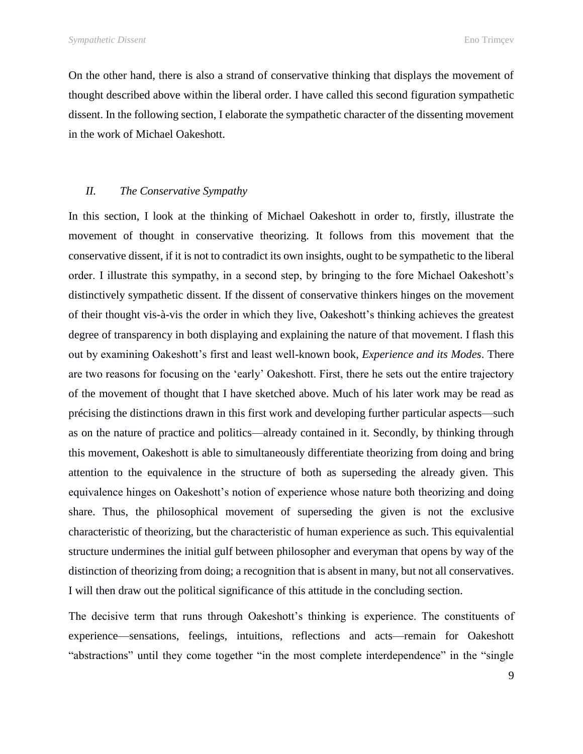On the other hand, there is also a strand of conservative thinking that displays the movement of thought described above within the liberal order. I have called this second figuration sympathetic dissent. In the following section, I elaborate the sympathetic character of the dissenting movement in the work of Michael Oakeshott.

# *II. The Conservative Sympathy*

In this section, I look at the thinking of Michael Oakeshott in order to, firstly, illustrate the movement of thought in conservative theorizing. It follows from this movement that the conservative dissent, if it is not to contradict its own insights, ought to be sympathetic to the liberal order. I illustrate this sympathy, in a second step, by bringing to the fore Michael Oakeshott's distinctively sympathetic dissent*.* If the dissent of conservative thinkers hinges on the movement of their thought vis-à-vis the order in which they live, Oakeshott's thinking achieves the greatest degree of transparency in both displaying and explaining the nature of that movement. I flash this out by examining Oakeshott's first and least well-known book, *Experience and its Modes*. There are two reasons for focusing on the 'early' Oakeshott. First, there he sets out the entire trajectory of the movement of thought that I have sketched above. Much of his later work may be read as précising the distinctions drawn in this first work and developing further particular aspects—such as on the nature of practice and politics—already contained in it. Secondly, by thinking through this movement, Oakeshott is able to simultaneously differentiate theorizing from doing and bring attention to the equivalence in the structure of both as superseding the already given. This equivalence hinges on Oakeshott's notion of experience whose nature both theorizing and doing share. Thus, the philosophical movement of superseding the given is not the exclusive characteristic of theorizing, but the characteristic of human experience as such. This equivalential structure undermines the initial gulf between philosopher and everyman that opens by way of the distinction of theorizing from doing; a recognition that is absent in many, but not all conservatives. I will then draw out the political significance of this attitude in the concluding section.

The decisive term that runs through Oakeshott's thinking is experience. The constituents of experience—sensations, feelings, intuitions, reflections and acts—remain for Oakeshott "abstractions" until they come together "in the most complete interdependence" in the "single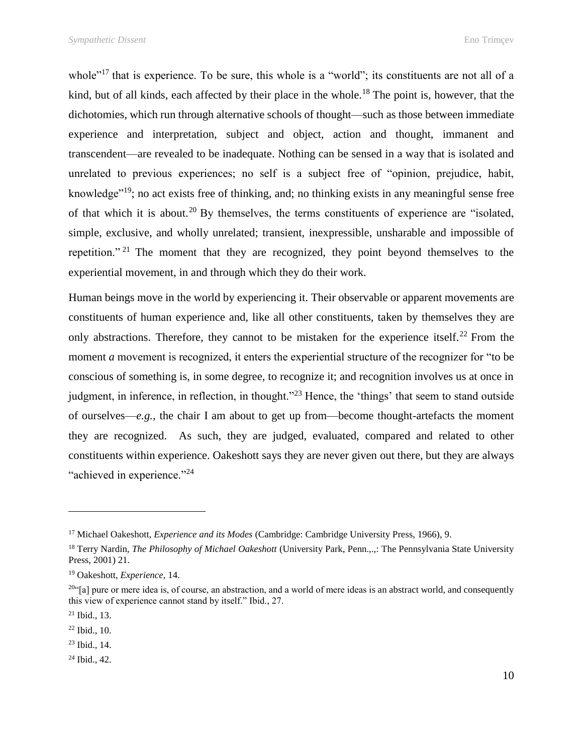whole"<sup>17</sup> that is experience. To be sure, this whole is a "world"; its constituents are not all of a kind, but of all kinds, each affected by their place in the whole.<sup>18</sup> The point is, however, that the dichotomies, which run through alternative schools of thought—such as those between immediate experience and interpretation, subject and object, action and thought, immanent and transcendent—are revealed to be inadequate. Nothing can be sensed in a way that is isolated and unrelated to previous experiences; no self is a subject free of "opinion, prejudice, habit, knowledge"<sup>19</sup>; no act exists free of thinking, and; no thinking exists in any meaningful sense free of that which it is about.<sup>20</sup> By themselves, the terms constituents of experience are "isolated, simple, exclusive, and wholly unrelated; transient, inexpressible, unsharable and impossible of repetition."<sup>21</sup> The moment that they are recognized, they point beyond themselves to the experiential movement, in and through which they do their work.

Human beings move in the world by experiencing it. Their observable or apparent movements are constituents of human experience and, like all other constituents, taken by themselves they are only abstractions. Therefore, they cannot to be mistaken for the experience itself.<sup>22</sup> From the moment *a* movement is recognized, it enters the experiential structure of the recognizer for "to be conscious of something is, in some degree, to recognize it; and recognition involves us at once in judgment, in inference, in reflection, in thought.<sup>"23</sup> Hence, the 'things' that seem to stand outside of ourselves—*e.g.,* the chair I am about to get up from—become thought-artefacts the moment they are recognized. As such, they are judged, evaluated, compared and related to other constituents within experience. Oakeshott says they are never given out there, but they are always "achieved in experience."<sup>24</sup>

<sup>17</sup> Michael Oakeshott, *Experience and its Modes* (Cambridge: Cambridge University Press, 1966), 9.

<sup>18</sup> Terry Nardin, *The Philosophy of Michael Oakeshott* (University Park, Penn.,.,: The Pennsylvania State University Press, 2001) 21.

<sup>19</sup> Oakeshott, *Experience*, 14.

 $^{20}$ <sup>c</sup>[a] pure or mere idea is, of course, an abstraction, and a world of mere ideas is an abstract world, and consequently this view of experience cannot stand by itself." Ibid., 27.

 $21$  Ibid., 13.

<sup>22</sup> Ibid., 10.

<sup>23</sup> Ibid., 14.

<sup>24</sup> Ibid., 42.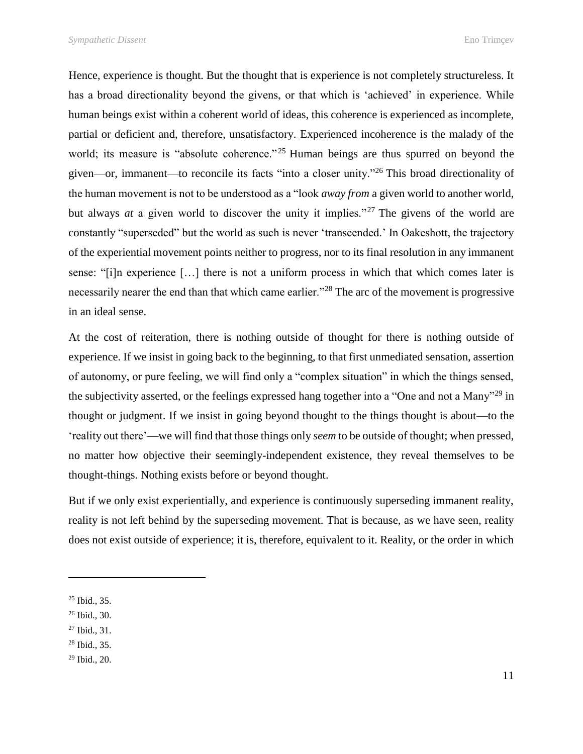Hence, experience is thought. But the thought that is experience is not completely structureless. It has a broad directionality beyond the givens, or that which is 'achieved' in experience. While human beings exist within a coherent world of ideas, this coherence is experienced as incomplete, partial or deficient and, therefore, unsatisfactory. Experienced incoherence is the malady of the world; its measure is "absolute coherence."<sup>25</sup> Human beings are thus spurred on beyond the given—or, immanent—to reconcile its facts "into a closer unity."<sup>26</sup> This broad directionality of the human movement is not to be understood as a "look *away from* a given world to another world, but always *at* a given world to discover the unity it implies."<sup>27</sup> The givens of the world are constantly "superseded" but the world as such is never 'transcended.' In Oakeshott, the trajectory of the experiential movement points neither to progress, nor to its final resolution in any immanent sense: "[i]n experience […] there is not a uniform process in which that which comes later is necessarily nearer the end than that which came earlier."<sup>28</sup> The arc of the movement is progressive in an ideal sense.

At the cost of reiteration, there is nothing outside of thought for there is nothing outside of experience. If we insist in going back to the beginning, to that first unmediated sensation, assertion of autonomy, or pure feeling, we will find only a "complex situation" in which the things sensed, the subjectivity asserted, or the feelings expressed hang together into a "One and not a Many"<sup>29</sup> in thought or judgment. If we insist in going beyond thought to the things thought is about—to the 'reality out there'—we will find that those things only *seem* to be outside of thought; when pressed, no matter how objective their seemingly-independent existence, they reveal themselves to be thought-things. Nothing exists before or beyond thought.

But if we only exist experientially, and experience is continuously superseding immanent reality, reality is not left behind by the superseding movement. That is because, as we have seen, reality does not exist outside of experience; it is, therefore, equivalent to it. Reality, or the order in which

- <sup>27</sup> Ibid., 31.
- <sup>28</sup> Ibid., 35.
- <sup>29</sup> Ibid., 20.

<sup>25</sup> Ibid., 35.

<sup>26</sup> Ibid., 30.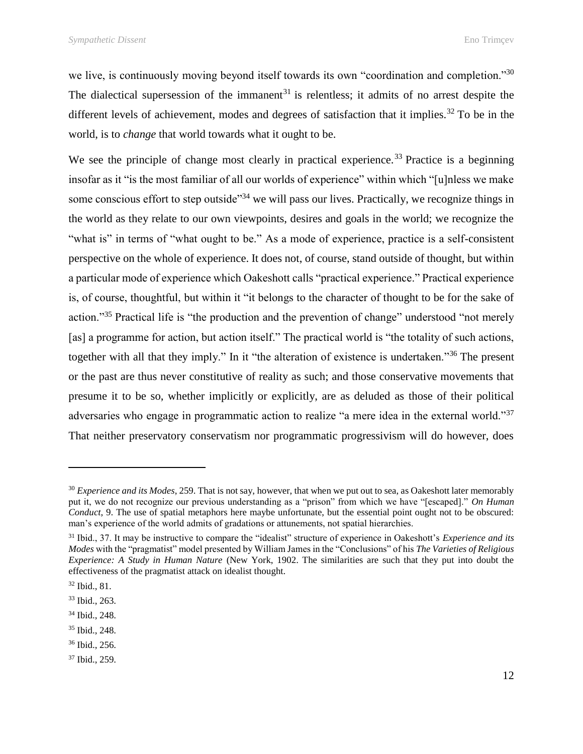we live, is continuously moving beyond itself towards its own "coordination and completion."<sup>30</sup> The dialectical supersession of the immanent $31$  is relentless; it admits of no arrest despite the different levels of achievement, modes and degrees of satisfaction that it implies.<sup>32</sup> To be in the world, is to *change* that world towards what it ought to be.

We see the principle of change most clearly in practical experience.<sup>33</sup> Practice is a beginning insofar as it "is the most familiar of all our worlds of experience" within which "[u]nless we make some conscious effort to step outside<sup>334</sup> we will pass our lives. Practically, we recognize things in the world as they relate to our own viewpoints, desires and goals in the world; we recognize the "what is" in terms of "what ought to be." As a mode of experience, practice is a self-consistent perspective on the whole of experience. It does not, of course, stand outside of thought, but within a particular mode of experience which Oakeshott calls "practical experience." Practical experience is, of course, thoughtful, but within it "it belongs to the character of thought to be for the sake of action."<sup>35</sup> Practical life is "the production and the prevention of change" understood "not merely [as] a programme for action, but action itself." The practical world is "the totality of such actions, together with all that they imply." In it "the alteration of existence is undertaken."<sup>36</sup> The present or the past are thus never constitutive of reality as such; and those conservative movements that presume it to be so, whether implicitly or explicitly, are as deluded as those of their political adversaries who engage in programmatic action to realize "a mere idea in the external world."<sup>37</sup> That neither preservatory conservatism nor programmatic progressivism will do however, does

 $\overline{a}$ 

<sup>35</sup> Ibid., 248.

<sup>30</sup> *Experience and its Modes*, 259. That is not say, however, that when we put out to sea, as Oakeshott later memorably put it, we do not recognize our previous understanding as a "prison" from which we have "[escaped]." *On Human Conduct*, 9. The use of spatial metaphors here maybe unfortunate, but the essential point ought not to be obscured: man's experience of the world admits of gradations or attunements, not spatial hierarchies.

<sup>31</sup> Ibid., 37. It may be instructive to compare the "idealist" structure of experience in Oakeshott's *Experience and its Modes* with the "pragmatist" model presented by William James in the "Conclusions" of his *The Varieties of Religious Experience: A Study in Human Nature* (New York, 1902. The similarities are such that they put into doubt the effectiveness of the pragmatist attack on idealist thought.

<sup>32</sup> Ibid., 81.

<sup>33</sup> Ibid., 263.

<sup>34</sup> Ibid., 248.

<sup>36</sup> Ibid., 256.

<sup>37</sup> Ibid., 259.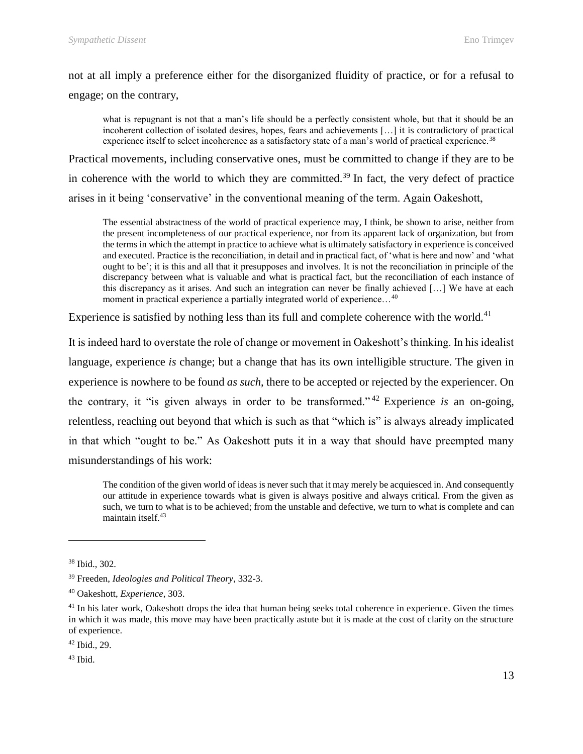not at all imply a preference either for the disorganized fluidity of practice, or for a refusal to engage; on the contrary,

what is repugnant is not that a man's life should be a perfectly consistent whole, but that it should be an incoherent collection of isolated desires, hopes, fears and achievements […] it is contradictory of practical experience itself to select incoherence as a satisfactory state of a man's world of practical experience.<sup>38</sup>

Practical movements, including conservative ones, must be committed to change if they are to be in coherence with the world to which they are committed.<sup>39</sup> In fact, the very defect of practice arises in it being 'conservative' in the conventional meaning of the term. Again Oakeshott,

The essential abstractness of the world of practical experience may, I think, be shown to arise, neither from the present incompleteness of our practical experience, nor from its apparent lack of organization, but from the terms in which the attempt in practice to achieve what is ultimately satisfactory in experience is conceived and executed. Practice is the reconciliation, in detail and in practical fact, of 'what is here and now' and 'what ought to be'; it is this and all that it presupposes and involves. It is not the reconciliation in principle of the discrepancy between what is valuable and what is practical fact, but the reconciliation of each instance of this discrepancy as it arises. And such an integration can never be finally achieved […] We have at each moment in practical experience a partially integrated world of experience...<sup>40</sup>

Experience is satisfied by nothing less than its full and complete coherence with the world.<sup>41</sup>

It is indeed hard to overstate the role of change or movement in Oakeshott's thinking. In his idealist language, experience *is* change; but a change that has its own intelligible structure. The given in experience is nowhere to be found *as such*, there to be accepted or rejected by the experiencer. On the contrary, it "is given always in order to be transformed." <sup>42</sup> Experience *is* an on-going, relentless, reaching out beyond that which is such as that "which is" is always already implicated in that which "ought to be." As Oakeshott puts it in a way that should have preempted many misunderstandings of his work:

The condition of the given world of ideas is never such that it may merely be acquiesced in. And consequently our attitude in experience towards what is given is always positive and always critical. From the given as such, we turn to what is to be achieved; from the unstable and defective, we turn to what is complete and can maintain itself.<sup>43</sup>

 $\overline{a}$ 

<sup>42</sup> Ibid., 29.

 $43$  Ibid.

<sup>38</sup> Ibid., 302.

<sup>39</sup> Freeden, *Ideologies and Political Theory*, 332-3.

<sup>40</sup> Oakeshott, *Experience*, 303.

<sup>&</sup>lt;sup>41</sup> In his later work, Oakeshott drops the idea that human being seeks total coherence in experience. Given the times in which it was made, this move may have been practically astute but it is made at the cost of clarity on the structure of experience.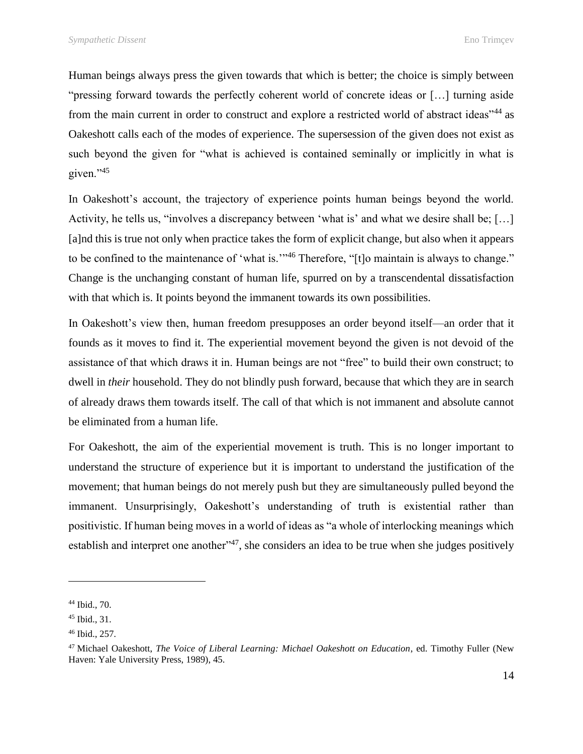Human beings always press the given towards that which is better; the choice is simply between "pressing forward towards the perfectly coherent world of concrete ideas or […] turning aside from the main current in order to construct and explore a restricted world of abstract ideas<sup>344</sup> as Oakeshott calls each of the modes of experience. The supersession of the given does not exist as such beyond the given for "what is achieved is contained seminally or implicitly in what is given."<sup>45</sup>

In Oakeshott's account, the trajectory of experience points human beings beyond the world. Activity, he tells us, "involves a discrepancy between 'what is' and what we desire shall be; […] [a]nd this is true not only when practice takes the form of explicit change, but also when it appears to be confined to the maintenance of 'what is.'"<sup>46</sup> Therefore, "[t]o maintain is always to change." Change is the unchanging constant of human life, spurred on by a transcendental dissatisfaction with that which is. It points beyond the immanent towards its own possibilities.

In Oakeshott's view then, human freedom presupposes an order beyond itself—an order that it founds as it moves to find it. The experiential movement beyond the given is not devoid of the assistance of that which draws it in. Human beings are not "free" to build their own construct; to dwell in *their* household. They do not blindly push forward, because that which they are in search of already draws them towards itself. The call of that which is not immanent and absolute cannot be eliminated from a human life.

For Oakeshott, the aim of the experiential movement is truth. This is no longer important to understand the structure of experience but it is important to understand the justification of the movement; that human beings do not merely push but they are simultaneously pulled beyond the immanent. Unsurprisingly, Oakeshott's understanding of truth is existential rather than positivistic. If human being moves in a world of ideas as "a whole of interlocking meanings which establish and interpret one another<sup>347</sup>, she considers an idea to be true when she judges positively

<sup>44</sup> Ibid., 70.

<sup>45</sup> Ibid., 31.

<sup>46</sup> Ibid., 257.

<sup>47</sup> Michael Oakeshott, *The Voice of Liberal Learning: Michael Oakeshott on Education*, ed. Timothy Fuller (New Haven: Yale University Press, 1989), 45.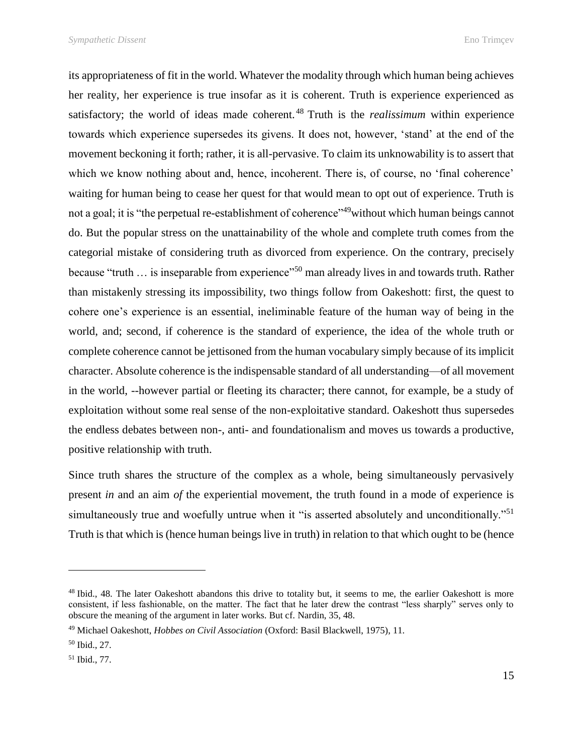its appropriateness of fit in the world. Whatever the modality through which human being achieves her reality, her experience is true insofar as it is coherent. Truth is experience experienced as satisfactory; the world of ideas made coherent. <sup>48</sup> Truth is the *realissimum* within experience towards which experience supersedes its givens. It does not, however, 'stand' at the end of the movement beckoning it forth; rather, it is all-pervasive. To claim its unknowability is to assert that which we know nothing about and, hence, incoherent. There is, of course, no 'final coherence' waiting for human being to cease her quest for that would mean to opt out of experience. Truth is not a goal; it is "the perpetual re-establishment of coherence"<sup>49</sup>without which human beings cannot do. But the popular stress on the unattainability of the whole and complete truth comes from the categorial mistake of considering truth as divorced from experience. On the contrary, precisely because "truth ... is inseparable from experience"<sup>50</sup> man already lives in and towards truth. Rather than mistakenly stressing its impossibility, two things follow from Oakeshott: first, the quest to cohere one's experience is an essential, ineliminable feature of the human way of being in the world, and; second, if coherence is the standard of experience, the idea of the whole truth or complete coherence cannot be jettisoned from the human vocabulary simply because of its implicit character. Absolute coherence is the indispensable standard of all understanding—of all movement in the world, --however partial or fleeting its character; there cannot, for example, be a study of exploitation without some real sense of the non-exploitative standard. Oakeshott thus supersedes the endless debates between non-, anti- and foundationalism and moves us towards a productive, positive relationship with truth.

Since truth shares the structure of the complex as a whole, being simultaneously pervasively present *in* and an aim *of* the experiential movement, the truth found in a mode of experience is simultaneously true and woefully untrue when it "is asserted absolutely and unconditionally."<sup>51</sup> Truth is that which is (hence human beings live in truth) in relation to that which ought to be (hence

<sup>&</sup>lt;sup>48</sup> Ibid., 48. The later Oakeshott abandons this drive to totality but, it seems to me, the earlier Oakeshott is more consistent, if less fashionable, on the matter. The fact that he later drew the contrast "less sharply" serves only to obscure the meaning of the argument in later works. But cf. Nardin, 35, 48.

<sup>49</sup> Michael Oakeshott, *Hobbes on Civil Association* (Oxford: Basil Blackwell, 1975), 11.

<sup>50</sup> Ibid., 27.

<sup>51</sup> Ibid., 77.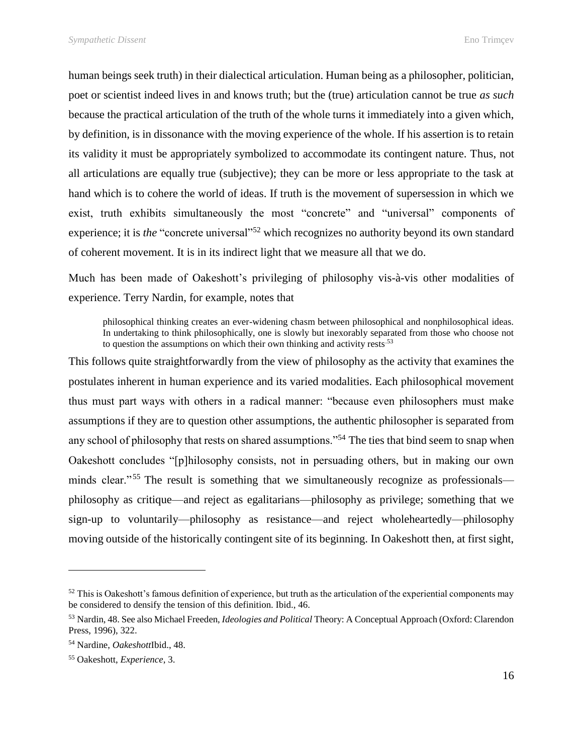human beings seek truth) in their dialectical articulation. Human being as a philosopher, politician, poet or scientist indeed lives in and knows truth; but the (true) articulation cannot be true *as such* because the practical articulation of the truth of the whole turns it immediately into a given which, by definition, is in dissonance with the moving experience of the whole. If his assertion is to retain its validity it must be appropriately symbolized to accommodate its contingent nature. Thus, not all articulations are equally true (subjective); they can be more or less appropriate to the task at hand which is to cohere the world of ideas. If truth is the movement of supersession in which we exist, truth exhibits simultaneously the most "concrete" and "universal" components of experience; it is *the* "concrete universal"<sup>52</sup> which recognizes no authority beyond its own standard of coherent movement. It is in its indirect light that we measure all that we do.

Much has been made of Oakeshott's privileging of philosophy vis-à-vis other modalities of experience. Terry Nardin, for example, notes that

philosophical thinking creates an ever-widening chasm between philosophical and nonphilosophical ideas. In undertaking to think philosophically, one is slowly but inexorably separated from those who choose not to question the assumptions on which their own thinking and activity rests<sup>53</sup>

This follows quite straightforwardly from the view of philosophy as the activity that examines the postulates inherent in human experience and its varied modalities. Each philosophical movement thus must part ways with others in a radical manner: "because even philosophers must make assumptions if they are to question other assumptions, the authentic philosopher is separated from any school of philosophy that rests on shared assumptions."<sup>54</sup> The ties that bind seem to snap when Oakeshott concludes "[p]hilosophy consists, not in persuading others, but in making our own minds clear."<sup>55</sup> The result is something that we simultaneously recognize as professionals philosophy as critique—and reject as egalitarians—philosophy as privilege; something that we sign-up to voluntarily—philosophy as resistance—and reject wholeheartedly—philosophy moving outside of the historically contingent site of its beginning. In Oakeshott then, at first sight,

<sup>&</sup>lt;sup>52</sup> This is Oakeshott's famous definition of experience, but truth as the articulation of the experiential components may be considered to densify the tension of this definition. Ibid., 46.

<sup>53</sup> Nardin, 48. See also Michael Freeden, *Ideologies and Political* Theory: A Conceptual Approach (Oxford: Clarendon Press, 1996), 322.

<sup>54</sup> Nardine, *Oakeshott*Ibid., 48.

<sup>55</sup> Oakeshott, *Experience*, 3.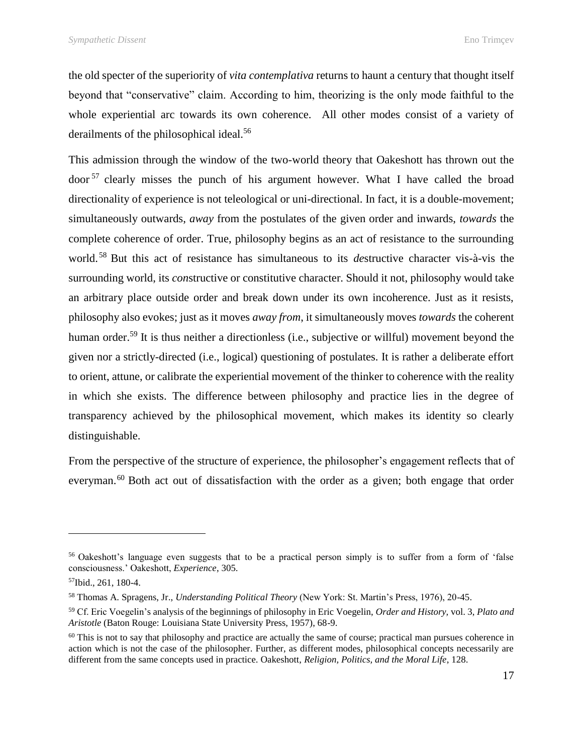the old specter of the superiority of *vita contemplativa* returns to haunt a century that thought itself beyond that "conservative" claim. According to him, theorizing is the only mode faithful to the whole experiential arc towards its own coherence. All other modes consist of a variety of derailments of the philosophical ideal.<sup>56</sup>

This admission through the window of the two-world theory that Oakeshott has thrown out the door <sup>57</sup> clearly misses the punch of his argument however. What I have called the broad directionality of experience is not teleological or uni-directional. In fact, it is a double-movement; simultaneously outwards, *away* from the postulates of the given order and inwards, *towards* the complete coherence of order. True, philosophy begins as an act of resistance to the surrounding world. <sup>58</sup> But this act of resistance has simultaneous to its *de*structive character vis-à-vis the surrounding world, its *con*structive or constitutive character. Should it not, philosophy would take an arbitrary place outside order and break down under its own incoherence. Just as it resists, philosophy also evokes; just as it moves *away from*, it simultaneously moves *towards* the coherent human order.<sup>59</sup> It is thus neither a directionless (i.e., subjective or willful) movement beyond the given nor a strictly-directed (i.e., logical) questioning of postulates. It is rather a deliberate effort to orient, attune, or calibrate the experiential movement of the thinker to coherence with the reality in which she exists. The difference between philosophy and practice lies in the degree of transparency achieved by the philosophical movement, which makes its identity so clearly distinguishable.

From the perspective of the structure of experience, the philosopher's engagement reflects that of everyman.<sup>60</sup> Both act out of dissatisfaction with the order as a given; both engage that order

<sup>56</sup> Oakeshott's language even suggests that to be a practical person simply is to suffer from a form of 'false consciousness.' Oakeshott, *Experience*, 305.

<sup>57</sup>Ibid., 261, 180-4.

<sup>58</sup> Thomas A. Spragens, Jr., *Understanding Political Theory* (New York: St. Martin's Press, 1976), 20-45.

<sup>59</sup> Cf. Eric Voegelin's analysis of the beginnings of philosophy in Eric Voegelin, *Order and History,* vol. 3, *Plato and Aristotle* (Baton Rouge: Louisiana State University Press, 1957), 68-9.

<sup>&</sup>lt;sup>60</sup> This is not to say that philosophy and practice are actually the same of course; practical man pursues coherence in action which is not the case of the philosopher. Further, as different modes, philosophical concepts necessarily are different from the same concepts used in practice. Oakeshott, *Religion, Politics, and the Moral Life*, 128.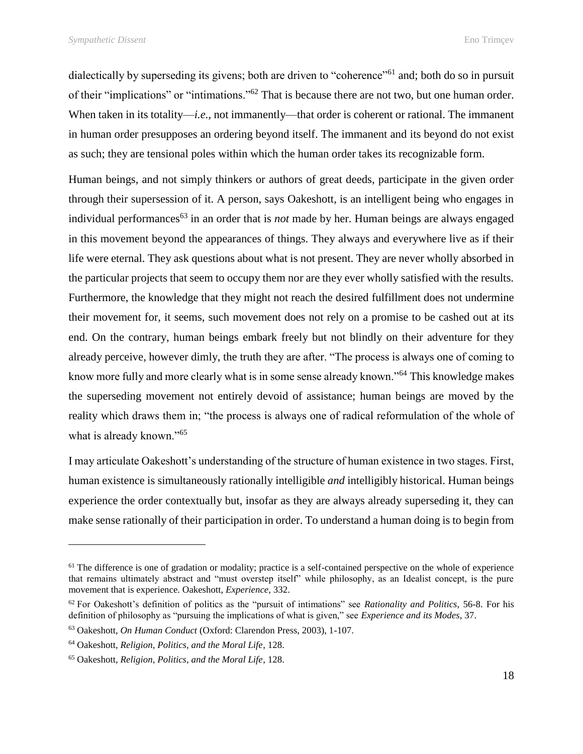dialectically by superseding its givens; both are driven to "coherence"<sup>61</sup> and; both do so in pursuit of their "implications" or "intimations."<sup>62</sup> That is because there are not two, but one human order. When taken in its totality—*i.e.*, not immanently—that order is coherent or rational. The immanent in human order presupposes an ordering beyond itself. The immanent and its beyond do not exist as such; they are tensional poles within which the human order takes its recognizable form.

Human beings, and not simply thinkers or authors of great deeds, participate in the given order through their supersession of it. A person, says Oakeshott, is an intelligent being who engages in individual performances<sup>63</sup> in an order that is *not* made by her. Human beings are always engaged in this movement beyond the appearances of things. They always and everywhere live as if their life were eternal. They ask questions about what is not present. They are never wholly absorbed in the particular projects that seem to occupy them nor are they ever wholly satisfied with the results. Furthermore, the knowledge that they might not reach the desired fulfillment does not undermine their movement for, it seems, such movement does not rely on a promise to be cashed out at its end. On the contrary, human beings embark freely but not blindly on their adventure for they already perceive, however dimly, the truth they are after. "The process is always one of coming to know more fully and more clearly what is in some sense already known."<sup>64</sup> This knowledge makes the superseding movement not entirely devoid of assistance; human beings are moved by the reality which draws them in; "the process is always one of radical reformulation of the whole of what is already known."<sup>65</sup>

I may articulate Oakeshott's understanding of the structure of human existence in two stages. First, human existence is simultaneously rationally intelligible *and* intelligibly historical. Human beings experience the order contextually but, insofar as they are always already superseding it, they can make sense rationally of their participation in order. To understand a human doing is to begin from

 $<sup>61</sup>$  The difference is one of gradation or modality; practice is a self-contained perspective on the whole of experience</sup> that remains ultimately abstract and "must overstep itself" while philosophy, as an Idealist concept, is the pure movement that is experience. Oakeshott, *Experience*, 332.

<sup>62</sup> For Oakeshott's definition of politics as the "pursuit of intimations" see *Rationality and Politics*, 56-8. For his definition of philosophy as "pursuing the implications of what is given," see *Experience and its Modes*, 37.

<sup>63</sup> Oakeshott, *On Human Conduct* (Oxford: Clarendon Press, 2003), 1-107.

<sup>64</sup> Oakeshott, *Religion, Politics, and the Moral Life*, 128.

<sup>65</sup> Oakeshott, *Religion, Politics, and the Moral Life*, 128.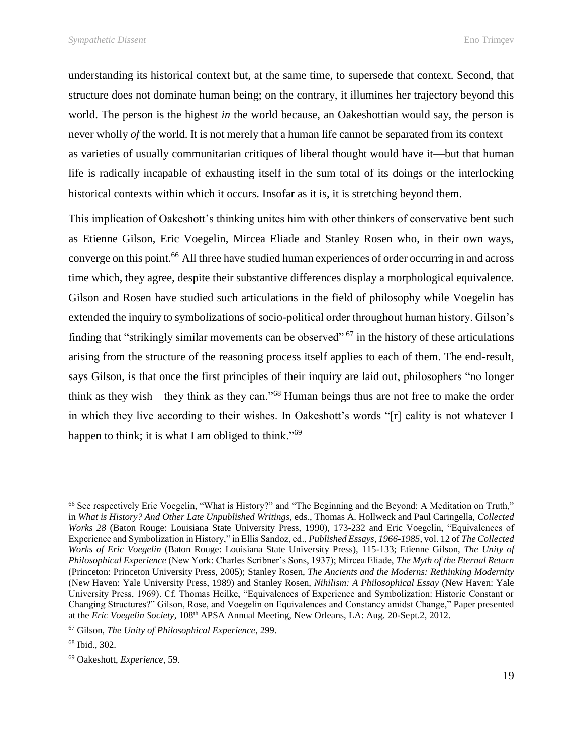understanding its historical context but, at the same time, to supersede that context. Second, that structure does not dominate human being; on the contrary, it illumines her trajectory beyond this world. The person is the highest *in* the world because, an Oakeshottian would say, the person is never wholly *of* the world. It is not merely that a human life cannot be separated from its context as varieties of usually communitarian critiques of liberal thought would have it—but that human life is radically incapable of exhausting itself in the sum total of its doings or the interlocking historical contexts within which it occurs. Insofar as it is, it is stretching beyond them.

This implication of Oakeshott's thinking unites him with other thinkers of conservative bent such as Etienne Gilson, Eric Voegelin, Mircea Eliade and Stanley Rosen who, in their own ways, converge on this point.<sup>66</sup> All three have studied human experiences of order occurring in and across time which, they agree, despite their substantive differences display a morphological equivalence. Gilson and Rosen have studied such articulations in the field of philosophy while Voegelin has extended the inquiry to symbolizations of socio-political order throughout human history. Gilson's finding that "strikingly similar movements can be observed"  $67$  in the history of these articulations arising from the structure of the reasoning process itself applies to each of them. The end-result, says Gilson, is that once the first principles of their inquiry are laid out, philosophers "no longer think as they wish—they think as they can."<sup>68</sup> Human beings thus are not free to make the order in which they live according to their wishes. In Oakeshott's words "[r] eality is not whatever I happen to think; it is what I am obliged to think."<sup>69</sup>

<sup>66</sup> See respectively Eric Voegelin, "What is History?" and "The Beginning and the Beyond: A Meditation on Truth," in *What is History? And Other Late Unpublished Writings*, eds., Thomas A. Hollweck and Paul Caringella, *Collected Works 28* (Baton Rouge: Louisiana State University Press, 1990), 173-232 and Eric Voegelin, "Equivalences of Experience and Symbolization in History," in Ellis Sandoz, ed., *Published Essays, 1966-1985*, vol. 12 of *The Collected Works of Eric Voegelin* (Baton Rouge: Louisiana State University Press), 115-133; Etienne Gilson, *The Unity of Philosophical Experience* (New York: Charles Scribner's Sons, 1937); Mircea Eliade, *The Myth of the Eternal Return*  (Princeton: Princeton University Press, 2005); Stanley Rosen, *The Ancients and the Moderns: Rethinking Modernity*  (New Haven: Yale University Press, 1989) and Stanley Rosen, *Nihilism: A Philosophical Essay* (New Haven: Yale University Press, 1969). Cf. Thomas Heilke, "Equivalences of Experience and Symbolization: Historic Constant or Changing Structures?" Gilson, Rose, and Voegelin on Equivalences and Constancy amidst Change," Paper presented at the *Eric Voegelin Society*, 108th APSA Annual Meeting, New Orleans, LA: Aug. 20-Sept.2, 2012.

<sup>67</sup> Gilson, *The Unity of Philosophical Experience*, 299.

<sup>68</sup> Ibid., 302.

<sup>69</sup> Oakeshott, *Experience*, 59.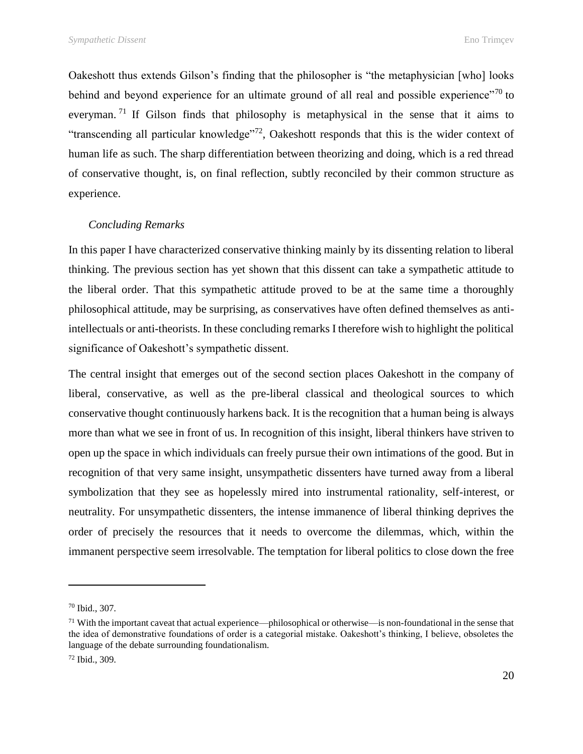Oakeshott thus extends Gilson's finding that the philosopher is "the metaphysician [who] looks behind and beyond experience for an ultimate ground of all real and possible experience $10$ <sup>70</sup> to everyman. <sup>71</sup> If Gilson finds that philosophy is metaphysical in the sense that it aims to "transcending all particular knowledge"<sup>72</sup>, Oakeshott responds that this is the wider context of human life as such. The sharp differentiation between theorizing and doing, which is a red thread of conservative thought, is, on final reflection, subtly reconciled by their common structure as experience.

#### *Concluding Remarks*

In this paper I have characterized conservative thinking mainly by its dissenting relation to liberal thinking. The previous section has yet shown that this dissent can take a sympathetic attitude to the liberal order. That this sympathetic attitude proved to be at the same time a thoroughly philosophical attitude, may be surprising, as conservatives have often defined themselves as antiintellectuals or anti-theorists. In these concluding remarks I therefore wish to highlight the political significance of Oakeshott's sympathetic dissent.

The central insight that emerges out of the second section places Oakeshott in the company of liberal, conservative, as well as the pre-liberal classical and theological sources to which conservative thought continuously harkens back. It is the recognition that a human being is always more than what we see in front of us. In recognition of this insight, liberal thinkers have striven to open up the space in which individuals can freely pursue their own intimations of the good. But in recognition of that very same insight, unsympathetic dissenters have turned away from a liberal symbolization that they see as hopelessly mired into instrumental rationality, self-interest, or neutrality. For unsympathetic dissenters, the intense immanence of liberal thinking deprives the order of precisely the resources that it needs to overcome the dilemmas, which, within the immanent perspective seem irresolvable. The temptation for liberal politics to close down the free

<sup>70</sup> Ibid., 307.

 $71$  With the important caveat that actual experience—philosophical or otherwise—is non-foundational in the sense that the idea of demonstrative foundations of order is a categorial mistake. Oakeshott's thinking, I believe, obsoletes the language of the debate surrounding foundationalism.

<sup>72</sup> Ibid., 309.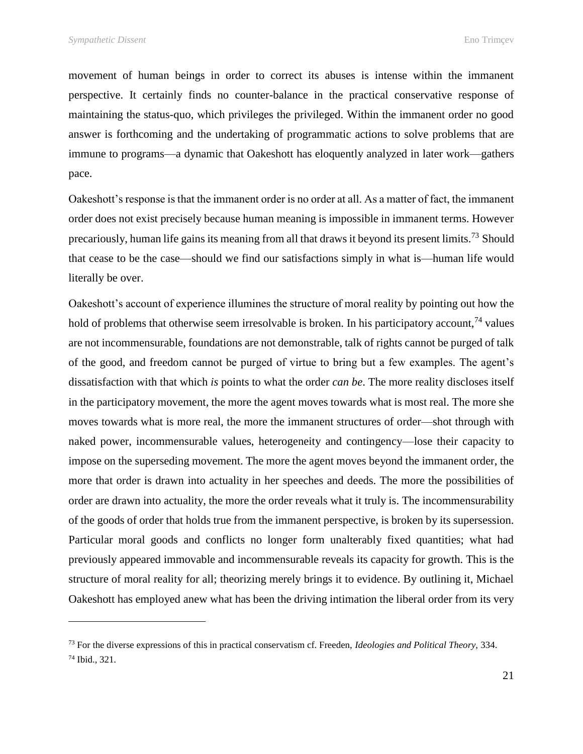movement of human beings in order to correct its abuses is intense within the immanent perspective. It certainly finds no counter-balance in the practical conservative response of maintaining the status-quo, which privileges the privileged. Within the immanent order no good answer is forthcoming and the undertaking of programmatic actions to solve problems that are immune to programs—a dynamic that Oakeshott has eloquently analyzed in later work—gathers pace.

Oakeshott's response is that the immanent order is no order at all. As a matter of fact, the immanent order does not exist precisely because human meaning is impossible in immanent terms. However precariously, human life gains its meaning from all that draws it beyond its present limits.<sup>73</sup> Should that cease to be the case—should we find our satisfactions simply in what is—human life would literally be over.

Oakeshott's account of experience illumines the structure of moral reality by pointing out how the hold of problems that otherwise seem irresolvable is broken. In his participatory account,  $^{74}$  values are not incommensurable, foundations are not demonstrable, talk of rights cannot be purged of talk of the good, and freedom cannot be purged of virtue to bring but a few examples. The agent's dissatisfaction with that which *is* points to what the order *can be*. The more reality discloses itself in the participatory movement, the more the agent moves towards what is most real. The more she moves towards what is more real, the more the immanent structures of order—shot through with naked power, incommensurable values, heterogeneity and contingency—lose their capacity to impose on the superseding movement. The more the agent moves beyond the immanent order, the more that order is drawn into actuality in her speeches and deeds. The more the possibilities of order are drawn into actuality, the more the order reveals what it truly is. The incommensurability of the goods of order that holds true from the immanent perspective, is broken by its supersession. Particular moral goods and conflicts no longer form unalterably fixed quantities; what had previously appeared immovable and incommensurable reveals its capacity for growth. This is the structure of moral reality for all; theorizing merely brings it to evidence. By outlining it, Michael Oakeshott has employed anew what has been the driving intimation the liberal order from its very

<sup>73</sup> For the diverse expressions of this in practical conservatism cf. Freeden, *Ideologies and Political Theory,* 334. <sup>74</sup> Ibid., 321.